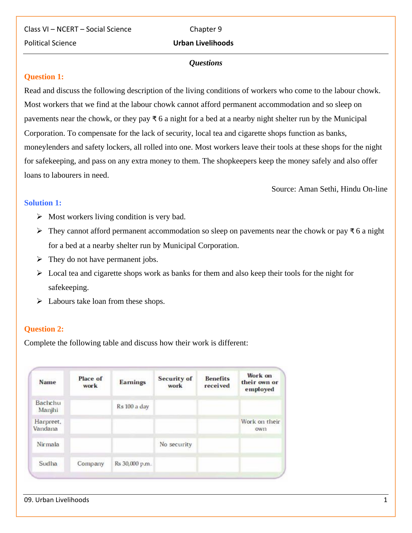Class VI – NCERT – Social Science Chapter 9 Political Science **Urban Livelihoods**

#### *Questions*

#### **Question 1:**

Read and discuss the following description of the living conditions of workers who come to the labour chowk. Most workers that we find at the labour chowk cannot afford permanent accommodation and so sleep on pavements near the chowk, or they pay ₹ 6 a night for a bed at a nearby night shelter run by the Municipal Corporation. To compensate for the lack of security, local tea and cigarette shops function as banks, moneylenders and safety lockers, all rolled into one. Most workers leave their tools at these shops for the night for safekeeping, and pass on any extra money to them. The shopkeepers keep the money safely and also offer loans to labourers in need.

Source: Aman Sethi, Hindu On-line

#### **Solution 1:**

- $\triangleright$  Most workers living condition is very bad.
- $\triangleright$  They cannot afford permanent accommodation so sleep on pavements near the chowk or pay ₹6 a night for a bed at a nearby shelter run by Municipal Corporation.
- $\triangleright$  They do not have permanent jobs.
- $\triangleright$  Local tea and cigarette shops work as banks for them and also keep their tools for the night for safekeeping.
- $\triangleright$  Labours take loan from these shops.

#### **Question 2:**

Complete the following table and discuss how their work is different:

| <b>Name</b>          | Place of<br>work | <b>Earnings</b> | <b>Security of</b><br>work | <b>Benefits</b><br>received | Work on<br>their own or<br>employed |
|----------------------|------------------|-----------------|----------------------------|-----------------------------|-------------------------------------|
| Bachchu<br>Manjhi    |                  | Rs 100 a day    |                            |                             |                                     |
| Harpreet,<br>Vandana |                  |                 |                            |                             | Work on their<br><b>OWI1</b>        |
| Nirmala              |                  |                 | No security                |                             |                                     |
| Sudha                | Company          | Rs 30,000 p.m.  |                            |                             |                                     |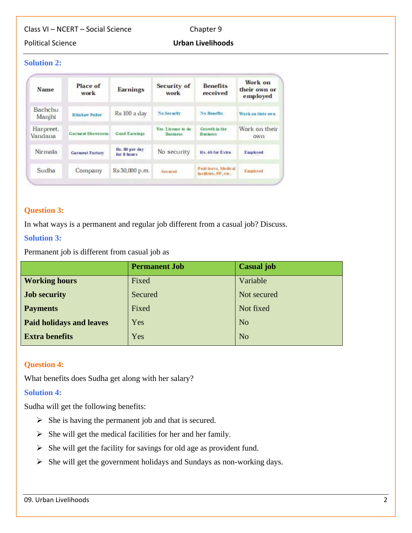# **Solution 2:**

| Name                     | Place of<br>work       | <b>Earnings</b>                | Security of<br>work                  | <b>Benefits</b><br>received                | Work on<br>their own or<br>employed |
|--------------------------|------------------------|--------------------------------|--------------------------------------|--------------------------------------------|-------------------------------------|
| <b>Bachchu</b><br>Manjhi | <b>Rishaw Puller</b>   | Rs 100 a day                   | No Security                          | <b>No Benefits</b>                         | Work on their own                   |
| Harpreet,<br>Vandana     | Garment Showroom       | Good Earnings                  | Yes License to do<br><b>Business</b> | Growth in the<br><b>Business</b>           | Work on their<br>OWIT               |
| Nirmala                  | <b>Garment Factory</b> | Rs. 80 per day<br>for 8 hours. | No security                          | Rs. 40 for Extra                           | <b>Employed</b>                     |
| Sudha                    | Company                | Rs 30,000 p.m.                 | Secured                              | Paid leave, Medical<br>tacdities, PF, etc. | Employed                            |

#### **[Question 3:](https://www.ncertbooks.guru/cbse-ncert-solutions-pdf/)**

In what ways is a permanent and regular job different from a casual job? Discuss.

# **Solution 3:**

Permanent job is different from casual job as

|                                 | <b>Permanent Job</b> | <b>Casual</b> job |
|---------------------------------|----------------------|-------------------|
| <b>Working hours</b>            | Fixed                | Variable          |
| <b>Job security</b>             | Secured              | Not secured       |
| <b>Payments</b>                 | Fixed                | Not fixed         |
| <b>Paid holidays and leaves</b> | Yes                  | N <sub>o</sub>    |
| <b>Extra benefits</b>           | Yes                  | N <sub>o</sub>    |
|                                 |                      |                   |

# **Question 4:**

What benefits does Sudha get along with her salary?

# **Solution 4:**

Sudha will get the following benefits:

- $\triangleright$  She is having the permanent job and that is secured.
- $\triangleright$  She will get the medical facilities for her and her family.
- $\triangleright$  She will get the facility for savings for old age as provident fund.
- $\triangleright$  She will get the government holidays and Sundays as non-working days.